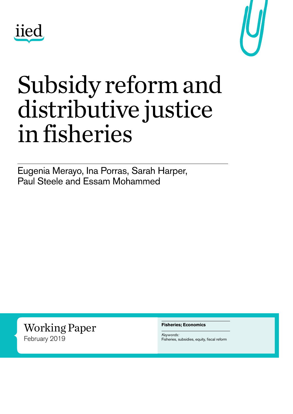



## Subsidy reform and distributive justice in fisheries

Eugenia Merayo, Ina Porras, Sarah Harper, Paul Steele and Essam Mohammed

Working Paper February 2019

**Fisheries; Economics**

*Keywords:* Fisheries, subsidies, equity, fiscal reform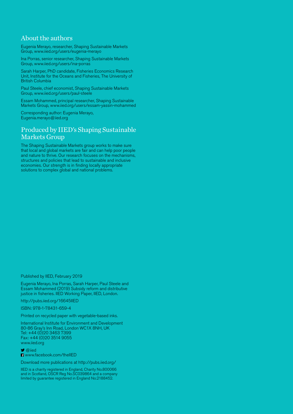#### About the authors

Eugenia Merayo, researcher, Shaping Sustainable Markets Group, [www.iied.org/users/eugenia-merayo](http://www.iied.org/users/eugenia-merayo)

Ina Porras, senior researcher, Shaping Sustainable Markets Group, [www.iied.org/users/ina-porras](http://www.iied.org/users/ina-porras)

Sarah Harper, PhD candidate, Fisheries Economics Research Unit, Institute for the Oceans and Fisheries, The University of British Columbia

Paul Steele, chief economist, Shaping Sustainable Markets Group, [www.iied.org/users/paul-steele](http://www.iied.org/users/paul-steele)

Essam Mohammed, principal researcher, Shaping Sustainable Markets Group, [www.iied.org/users/essam-yassin-mohammed](http://www.iied.org/users/essam-yassin-mohammed)

Corresponding author: Eugenia Merayo, [Eugenia.merayo@iied.org](mailto:Eugenia.merayo%40iied.org?subject=)

#### Produced by IIED's Shaping Sustainable Markets Group

The Shaping Sustainable Markets group works to make sure that local and global markets are fair and can help poor people and nature to thrive. Our research focuses on the mechanisms, structures and policies that lead to sustainable and inclusive economies. Our strength is in finding locally appropriate solutions to complex global and national problems.

Published by IIED, February 2019

Eugenia Merayo, Ina Porras, Sarah Harper, Paul Steele and Essam Mohammed (2019) Subsidy reform and distributive justice in fisheries. IIED Working Paper, IIED, London.

<http://pubs.iied.org/16645IIED>

ISBN: 978-1-78431-659-4

Printed on recycled paper with vegetable-based inks.

International Institute for Environment and Development 80-86 Gray's Inn Road, London WC1X 8NH, UK Tel: +44 (0) 20 3463 7399 Fax: +44 (0)20 3514 9055 [www.iied.org](http://www.iied.org)

 [@iied](https://twitter.com/iied)

**El** [www.facebook.com/theIIED](http://www.facebook.com/theIIED)

Download more publications at<http://pubs.iied.org/>

IIED is a charity registered in England, Charity No.800066 and in Scotland, OSCR Reg No.SC039864 and a company limited by guarantee registered in England No.2188452.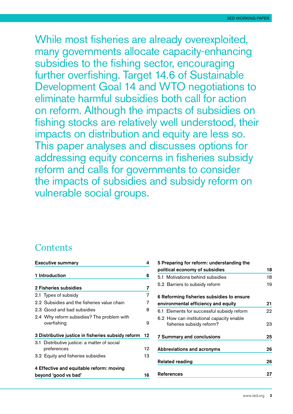While most fisheries are already overexploited, many governments allocate capacity-enhancing subsidies to the fishing sector, encouraging further overfishing. Target 14.6 of Sustainable Development Goal 14 and WTO negotiations to eliminate harmful subsidies both call for action on reform. Although the impacts of subsidies on fishing stocks are relatively well understood, their impacts on distribution and equity are less so. This paper analyses and discusses options for addressing equity concerns in fisheries subsidy reform and calls for governments to consider the impacts of subsidies and subsidy reform on vulnerable social groups.

#### **Contents**

|                                                    | <b>Executive summary</b>                                    |    |  |  |  |
|----------------------------------------------------|-------------------------------------------------------------|----|--|--|--|
|                                                    | 1 Introduction                                              | 6  |  |  |  |
|                                                    | 2 Fisheries subsidies                                       | 7  |  |  |  |
|                                                    | 2.1 Types of subsidy                                        | 7  |  |  |  |
|                                                    | 2.2 Subsidies and the fisheries value chain                 | 7  |  |  |  |
|                                                    | 2.3 Good and bad subsidies                                  | 8  |  |  |  |
|                                                    | 2.4 Why reform subsidies? The problem with<br>overfishing   | 9  |  |  |  |
| 3 Distributive justice in fisheries subsidy reform |                                                             |    |  |  |  |
|                                                    | 3.1 Distributive justice: a matter of social<br>preferences | 12 |  |  |  |
|                                                    | 3.2 Equity and fisheries subsidies                          | 13 |  |  |  |
|                                                    | 4 Effective and equitable reform: moving                    |    |  |  |  |
| beyond 'good vs bad'                               |                                                             |    |  |  |  |

| 5 Preparing for reform: understanding the  |    |  |
|--------------------------------------------|----|--|
| political economy of subsidies             | 18 |  |
| 5.1 Motivations behind subsidies           | 18 |  |
| 5.2 Barriers to subsidy reform             | 19 |  |
| 6 Reforming fisheries subsidies to ensure  |    |  |
| environmental efficiency and equity        | 21 |  |
| 6.1 Elements for successful subsidy reform | 22 |  |
| 6.2 How can institutional capacity enable  |    |  |
| fisheries subsidy reform?                  | 23 |  |
| <b>7 Summary and conclusions</b>           | 25 |  |
| <b>Abbreviations and acronyms</b>          | 26 |  |
| <b>Related reading</b>                     |    |  |
| References                                 | 27 |  |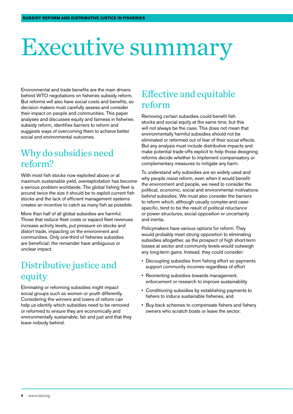## <span id="page-3-0"></span>Executive summary

Environmental and trade benefits are the main drivers behind WTO negotiations on fisheries subsidy reform. But reforms will also have social costs and benefits, so decision makers must carefully assess and consider their impact on people and communities. This paper analyses and discusses equity and fairness in fisheries subsidy reform, identifies barriers to reform and suggests ways of overcoming them to achieve better social and environmental outcomes.

#### Why do subsidies need reform?

With most fish stocks now exploited above or at maximum sustainable yield, overexploitation has become a serious problem worldwide. The global fishing fleet is around twice the size it should be to exploit current fish stocks and the lack of efficient management systems creates an incentive to catch as many fish as possible.

More than half of all global subsidies are harmful. Those that reduce fleet costs or expand fleet revenues increase activity levels, put pressure on stocks and distort trade, impacting on the environment and communities. Only one-third of fisheries subsidies are beneficial; the remainder have ambiguous or unclear impact.

#### Distributive justice and equity

Eliminating or reforming subsidies might impact social groups such as women or youth differently. Considering the winners and losers of reform can help us identify which subsidies need to be removed or reformed to ensure they are economically and environmentally sustainable, fair and just and that they leave nobody behind.

#### Effective and equitable reform

Removing certain subsidies could benefit fish stocks and social equity at the same time, but this will not always be the case. This does not mean that environmentally harmful subsidies should not be eliminated or reformed out of fear of their social effects. But any analysis must include distributive impacts and make potential trade-offs explicit to help those designing reforms decide whether to implement compensatory or complementary measures to mitigate any harm.

To understand why subsidies are so widely used and why people resist reform, even when it would benefit the environment and people, we need to consider the political, economic, social and environmental motivations behind subsidies. We must also consider the barriers to reform which, although usually complex and casespecific, tend to be the result of political reluctance or power structures, social opposition or uncertainty and inertia.

Policymakers have various options for reform. They would probably meet strong opposition to eliminating subsidies altogether, as the prospect of high short-term losses at sector and community levels would outweigh any long-term gains. Instead, they could consider:

- Decoupling subsidies from fishing effort so payments support community incomes regardless of effort
- Reorienting subsidies towards management, enforcement or research to improve sustainability
- Conditioning subsidies by establishing payments to fishers to induce sustainable fisheries, and
- Buy-back schemes to compensate fishers and fishery owners who scratch boats or leave the sector.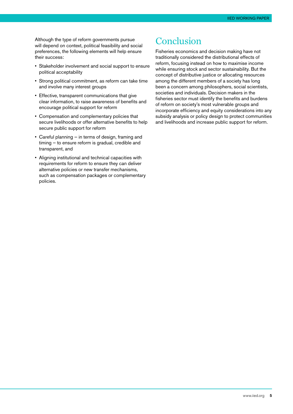Although the type of reform governments pursue will depend on context, political feasibility and social preferences, the following elements will help ensure their success:

- Stakeholder involvement and social support to ensure political acceptability
- Strong political commitment, as reform can take time and involve many interest groups
- Effective, transparent communications that give clear information, to raise awareness of benefits and encourage political support for reform
- Compensation and complementary policies that secure livelihoods or offer alternative benefits to help secure public support for reform
- Careful planning in terms of design, framing and timing — to ensure reform is gradual, credible and transparent, and
- Aligning institutional and technical capacities with requirements for reform to ensure they can deliver alternative policies or new transfer mechanisms, such as compensation packages or complementary policies.

#### Conclusion

Fisheries economics and decision making have not traditionally considered the distributional effects of reform, focusing instead on how to maximise income while ensuring stock and sector sustainability. But the concept of distributive justice or allocating resources among the different members of a society has long been a concern among philosophers, social scientists, societies and individuals. Decision makers in the fisheries sector must identify the benefits and burdens of reform on society's most vulnerable groups and incorporate efficiency and equity considerations into any subsidy analysis or policy design to protect communities and livelihoods and increase public support for reform.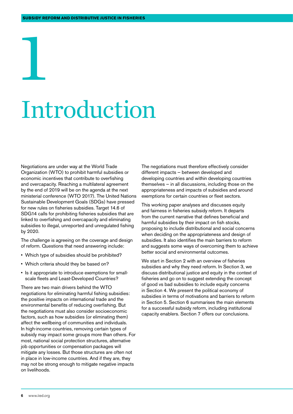## <span id="page-5-0"></span>1 Introduction

Negotiations are under way at the World Trade Organization (WTO) to prohibit harmful subsidies or economic incentives that contribute to overfishing and overcapacity. Reaching a multilateral agreement by the end of 2019 will be on the agenda at the next ministerial conference (WTO 2017). The United Nations Sustainable Development Goals (SDGs) have pressed for new rules on fisheries subsidies. Target 14.6 of SDG14 calls for prohibiting fisheries subsidies that are linked to overfishing and overcapacity and eliminating subsidies to illegal, unreported and unregulated fishing by 2020.

The challenge is agreeing on the coverage and design of reform. Questions that need answering include:

- Which type of subsidies should be prohibited?
- Which criteria should they be based on?
- Is it appropriate to introduce exemptions for smallscale fleets and Least-Developed Countries?

There are two main drivers behind the WTO negotiations for eliminating harmful fishing subsidies: the positive impacts on international trade and the environmental benefits of reducing overfishing. But the negotiations must also consider socioeconomic factors, such as how subsidies (or eliminating them) affect the wellbeing of communities and individuals. In high-income countries, removing certain types of subsidy may impact some groups more than others. For most, national social protection structures, alternative job opportunities or compensation packages will mitigate any losses. But those structures are often not in place in low-income countries. And if they are, they may not be strong enough to mitigate negative impacts on livelihoods.

The negotiations must therefore effectively consider different impacts — between developed and developing countries and within developing countries themselves — in all discussions, including those on the appropriateness and impacts of subsidies and around exemptions for certain countries or fleet sectors.

This working paper analyses and discusses equity and fairness in fisheries subsidy reform. It departs from the current narrative that defines beneficial and harmful subsidies by their impact on fish stocks, proposing to include distributional and social concerns when deciding on the appropriateness and design of subsidies. It also identifies the main barriers to reform and suggests some ways of overcoming them to achieve better social and environmental outcomes.

We start in Section 2 with an overview of fisheries subsidies and why they need reform. In Section 3, we discuss distributional justice and equity in the context of fisheries and go on to suggest extending the concept of good vs bad subsidies to include equity concerns in Section 4. We present the political economy of subsidies in terms of motivations and barriers to reform in Section 5. Section 6 summarises the main elements for a successful subsidy reform, including institutional capacity enablers. Section 7 offers our conclusions.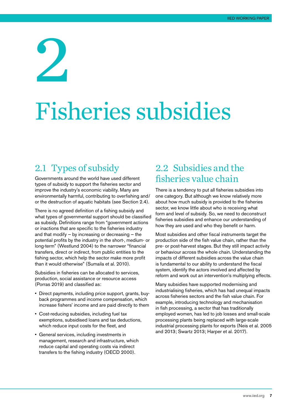## <span id="page-6-0"></span>2 Fisheries subsidies

#### 2.1 Types of subsidy

Governments around the world have used different types of subsidy to support the fisheries sector and improve the industry's economic viability. Many are environmentally harmful, contributing to overfishing and/ or the destruction of aquatic habitats (see Section 2.4).

There is no agreed definition of a fishing subsidy and what types of governmental support should be classified as subsidy. Definitions range from "government actions or inactions that are specific to the fisheries industry and that modify — by increasing or decreasing — the potential profits by the industry in the short-, medium- or long-term" (Westlund 2004) to the narrower "financial transfers, direct or indirect, from public entities to the fishing sector, which help the sector make more profit than it would otherwise" (Sumaila et al. 2010).

Subsidies in fisheries can be allocated to services, production, social assistance or resource access (Porras 2019) and classified as:

- Direct payments, including price support, grants, buyback programmes and income compensation, which increase fishers' income and are paid directly to them
- Cost-reducing subsidies, including fuel tax exemptions, subsidised loans and tax deductions, which reduce input costs for the fleet, and
- General services, including investments in management, research and infrastructure, which reduce capital and operating costs via indirect transfers to the fishing industry (OECD 2000).

#### 2.2 Subsidies and the fisheries value chain

There is a tendency to put all fisheries subsidies into one category. But although we know relatively more about how much subsidy is provided to the fisheries sector, we know little about who is receiving what form and level of subsidy. So, we need to deconstruct fisheries subsidies and enhance our understanding of how they are used and who they benefit or harm.

Most subsidies and other fiscal instruments target the production side of the fish value chain, rather than the pre- or post-harvest stages. But they still impact activity or behaviour across the whole chain. Understanding the impacts of different subsidies across the value chain is fundamental to our ability to understand the fiscal system, identify the actors involved and affected by reform and work out an intervention's multiplying effects.

Many subsidies have supported modernising and industrialising fisheries, which has had unequal impacts across fisheries sectors and the fish value chain. For example, introducing technology and mechanisation in fish processing, a sector that has traditionally employed women, has led to job losses and small-scale processing plants being replaced with large-scale industrial processing plants for exports (Neis et al. 2005 and 2013; Swartz 2013; Harper et al. 2017).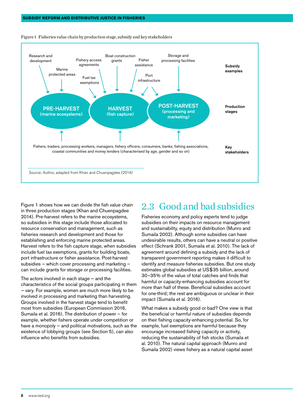

<span id="page-7-0"></span>Figure 1 Fisheries value chain by production stage, subsidy and key stakeholders

Figure 1 shows how we can divide the fish value chain in three production stages (Khan and Chuenpagdee 2014). Pre-harvest refers to the marine ecosystems, so subsidies in this stage include those allocated to resource conservation and management, such as fisheries research and development and those for establishing and enforcing marine protected areas. Harvest refers to the fish capture stage, when subsidies include fuel tax exemptions, grants for building boats, port infrastructure or fisher assistance. Post-harvest subsidies — which cover processing and marketing can include grants for storage or processing facilities.

The actors involved in each stage — and the characteristics of the social groups participating in them — vary. For example, women are much more likely to be involved in processing and marketing than harvesting. Groups involved in the harvest stage tend to benefit most from subsidies (European Commission 2016, Sumaila et al. 2016). The distribution of power — for example, whether fishers operate under competition or have a monopoly – and political motivations, such as the existence of lobbying groups (see Section 5), can also influence who benefits from subsidies.

#### 2.3 Good and bad subsidies

Fisheries economy and policy experts tend to judge subsidies on their impacts on resource management and sustainability, equity and distribution (Munro and Sumaila 2002). Although some subsidies can have undesirable results, others can have a neutral or positive effect (Schrank 2001, Sumaila et al. 2010). The lack of agreement around defining a subsidy and the lack of transparent government reporting makes it difficult to identify and measure fisheries subsidies. But one study estimates global subsidies at US\$35 billion, around 30–35% of the value of total catches and finds that harmful or capacity-enhancing subsidies account for more than half of these. Beneficial subsidies account for one-third; the rest are ambiguous or unclear in their impact (Sumaila et al. 2016).

What makes a subsidy good or bad? One view is that the beneficial or harmful nature of subsidies depends on their fishing capacity-enhancing potential. So, for example, fuel exemptions are harmful because they encourage increased fishing capacity or activity, reducing the sustainability of fish stocks (Sumaila et al. 2010). The natural capital approach (Munro and Sumaila 2002) views fishery as a natural capital asset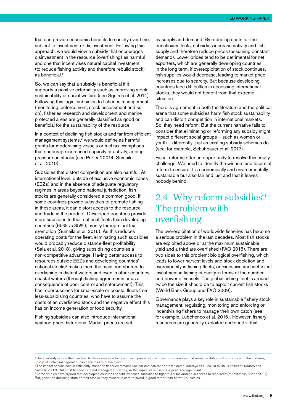<span id="page-8-0"></span>that can provide economic benefits to society over time, subject to investment or disinvestment. Following this approach, we would view a subsidy that encourages disinvestment in the resource (overfishing) as harmful and one that incentivises natural capital investment (to reduce fishing activity and therefore rebuild stock) as beneficial.1

So, we can say that a subsidy is beneficial if it supports a positive externality such as improving stock sustainability or social welfare (see Squires et al. 2014). Following this logic, subsidies to fisheries management (monitoring, enforcement, stock assessment and so on), fisheries research and development and marine protected areas are generally classified as good or beneficial for the sustainability of the resource.

In a context of declining fish stocks and far from efficient management systems,<sup>2</sup> we would define as harmful grants for modernising vessels or fuel tax exemptions that encourage increased capacity or activity, adding pressure on stocks (see Porter 20014, Sumaila et al. 2010).

Subsidies that distort competition are also harmful. At international level, outside of exclusive economic zones (EEZs) and in the absence of adequate regulatory regimes in areas beyond national jurisdiction, fish stocks are generally considered a common good. If some countries provide subsidies to promote fishing in these areas, it can distort access to the resource and trade in the product. Developed countries provide more subsidies to their national fleets than developing countries (65% vs 35%), mostly through fuel tax exemption (Sumaila et al. 2016). As this reduces operating costs for the fleet, eliminating such subsidies would probably reduce distance-fleet profitability (Sala et al. 2018), giving subsidising countries a non-competitive advantage. Having better access to resources outside EEZs and developing countries' national stocks<sup>3</sup> makes them the main contributors to overfishing in distant waters and even in other countries' coastal waters (through fishing agreements or as a consequence of poor control and enforcement). This has repercussions for small-scale or coastal fleets from less-subsidising countries, who have to assume the costs of an overfished stock and the negative effect this has on income generation or food security.

Fishing subsidies can also introduce international seafood price distortions. Market prices are set

by supply and demand. By reducing costs for the beneficiary fleets, subsidies increase activity and fish supply and therefore reduce prices (assuming constant demand). Lower prices tend to be detrimental for net exporters, which are generally developing countries. In the long term, if overexploitation of stock continues, fish supplies would decrease, leading to market price increases due to scarcity. But because developing countries face difficulties in accessing international stocks, they would not benefit from that extreme situation.

There is agreement in both the literature and the political arena that some subsidies harm fish stock sustainability and can distort competition in international markets. So, they need reform. But the current narrative fails to consider that eliminating or reforming any subsidy might impact different social groups — such as women or youth — differently, just as existing subsidy schemes do (see, for example, Schuhbauer et al. 2017).

Fiscal reforms offer an opportunity to resolve this equity challenge. We need to identify the winners and losers of reform to ensure it is economically and environmentally sustainable but also fair and just and that it leaves nobody behind.

#### 2.4 Why reform subsidies? The problem with overfishing

The overexploitation of worldwide fisheries has become a serious problem in the last decades. Most fish stocks are exploited above or at the maximum sustainable yield and a third are overfished (FAO 2018). There are two sides to this problem: biological overfishing, which leads to lower harvest levels and stock depletion and overcapacity in fishing fleets, or excessive and inefficient investment in fishing capacity in terms of the number and power of vessels. The global fishing fleet is around twice the size it should be to exploit current fish stocks (World Bank Group and FAO 2009).

Governance plays a key role in sustainable fishery stock management, regulating, monitoring and enforcing or incentivising fishers to manage their own catch (see, for example, Lubchenco et al. 2016). However, fishery resources are generally exploited under individual

<sup>&</sup>lt;sup>1</sup> But a subsidy reform that can lead to decreases in activity and so improved stocks does not guarantee that overexploitation will not reoccur in the midterm, unless effective management mechanisms are put in place.<br><sup>2</sup>The impact of subsidies in efficiently managed fisheries remains unclear and can range from 'limited' (Merayo et al. 2018) to 'still significant' (Munro and

Sumaila 2002). But most fisheries are not managed efficiently, so the impact of subsidies is generally significant.

<sup>&</sup>lt;sup>3</sup> Some studies have argued that developing countries should introduce subsidies to fight this disadvantage in access to resources (for example, Kurien 2007). But, given the declining state of their stocks, they must take care to invest in good rather than harmful subsidies.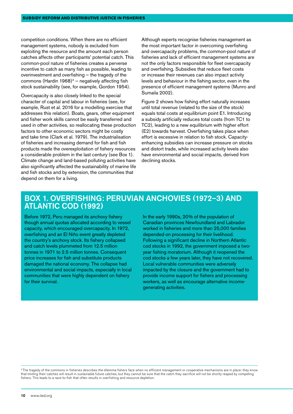competition conditions. When there are no efficient management systems, nobody is excluded from exploiting the resource and the amount each person catches affects other participants' potential catch. This common-pool nature of fisheries creates a perverse incentive to catch as many fish as possible, leading to overinvestment and overfishing — the tragedy of the commons (Hardin 1968) $4$  – negatively affecting fish stock sustainability (see, for example, Gordon 1954).

Overcapacity is also closely linked to the special character of capital and labour in fisheries (see, for example, Rust et al. 2016 for a modelling exercise that addresses this relation). Boats, gears, other equipment and fisher work skills cannot be easily transferred and used in other activities, so reallocating these production factors to other economic sectors might be costly and take time (Clark et al. 1979). The industrialisation of fisheries and increasing demand for fish and fish products made the overexploitation of fishery resources a considerable problem in the last century (see Box 1). Climate change and land-based polluting activities have also significantly affected the sustainability of marine life and fish stocks and by extension, the communities that depend on them for a living.

Although experts recognise fisheries management as the most important factor in overcoming overfishing and overcapacity problems, the common-pool nature of fisheries and lack of efficient management systems are not the only factors responsible for fleet overcapacity and overfishing. Subsidies that reduce fleet costs or increase their revenues can also impact activity levels and behaviour in the fishing sector, even in the presence of efficient management systems (Munro and Sumaila 2002).

Figure 2 shows how fishing effort naturally increases until total revenue (related to the size of the stock) equals total costs at equilibrium point E1. Introducing a subsidy artificially reduces total costs (from TC1 to TC2), leading to a new equilibrium with higher effort (E2) towards harvest. Overfishing takes place when effort is excessive in relation to fish stock. Capacityenhancing subsidies can increase pressure on stocks and distort trade, while increased activity levels also have environmental and social impacts, derived from declining stocks.

#### Box 1. Overfishing: Peruvian anchovies (1972–3) and Atlantic cod (1992)

Before 1972, Peru managed its anchovy fishery though annual quotas allocated according to vessel capacity, which encouraged overcapacity. In 1972, overfishing and an El Niño event greatly depleted the country's anchovy stock. Its fishery collapsed and catch levels plummeted from 12.5 million tonnes in 1971 to 2.5 million tonnes. Consequent price increases for fish and substitute products damaged the national economy. The collapse had environmental and social impacts, especially in local communities that were highly dependent on fishery for their survival.

In the early 1990s, 20% of the population of Canadian provinces Newfoundland and Labrador worked in fisheries and more than 25,000 families depended on processing for their livelihood. Following a significant decline in Northern Atlantic cod stocks in 1992, the government imposed a twoyear fishing moratorium. Although it reopened the cod stocks a few years later, they have not recovered. Local vulnerable communities were adversely impacted by the closure and the government had to provide income support for fishers and processing workers, as well as encourage alternative incomegenerating activities.

4 The tragedy of the commons in fisheries describes the dilemma fishers face when no efficient management or cooperative mechanisms are in place: they know that limiting their catches will result in sustainable future catches, but they cannot be sure that the catch they sacrifice will not be shortly reaped by competing fishers. This leads to a race-to-fish that often results in overfishing and resource depletion.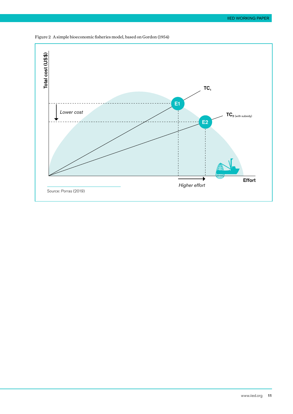

Figure 2 A simple bioeconomic fisheries model, based on Gordon (1954)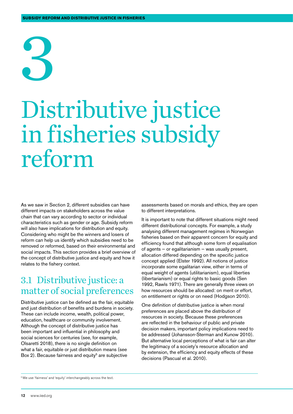# <span id="page-11-0"></span>3

## Distributive justice in fisheries subsidy reform

As we saw in Section 2, different subsidies can have different impacts on stakeholders across the value chain that can vary according to sector or individual characteristics such as gender or age. Subsidy reform will also have implications for distribution and equity. Considering who might be the winners and losers of reform can help us identify which subsidies need to be removed or reformed, based on their environmental and social impacts. This section provides a brief overview of the concept of distributive justice and equity and how it relates to the fishery context.

#### 3.1 Distributive justice: a matter of social preferences

Distributive justice can be defined as the fair, equitable and just distribution of benefits and burdens in society. These can include income, wealth, political power, education, healthcare or community involvement. Although the concept of distributive justice has been important and influential in philosophy and social sciences for centuries (see, for example, Olsaretti 2018), there is no single definition on what a fair, equitable or just distribution means (see Box 2). Because fairness and equity<sup>5</sup> are subjective

assessments based on morals and ethics, they are open to different interpretations.

It is important to note that different situations might need different distributional concepts. For example, a study analysing different management regimes in Norwegian fisheries based on their apparent concern for equity and efficiency found that although some form of equalisation of agents — or egalitarianism — was usually present, allocation differed depending on the specific justice concept applied (Elster 1992). All notions of justice incorporate some egalitarian view, either in terms of equal weight of agents (utilitarianism), equal liberties (libertarianism) or equal rights to basic goods (Sen 1992, Rawls 1971). There are generally three views on how resources should be allocated: on merit or effort, on entitlement or rights or on need (Hodgson 2010).

One definition of distributive justice is when moral preferences are placed above the distribution of resources in society. Because these preferences are reflected in the behaviour of public and private decision makers, important policy implications need to be addressed (Johansson-Sterman and Kunow 2010). But alternative local perceptions of what is fair can alter the legitimacy of a society's resource allocation and by extension, the efficiency and equity effects of these decisions (Pascual et al. 2010).

<sup>5</sup> We use 'fairness' and 'equity' interchangeably across the text.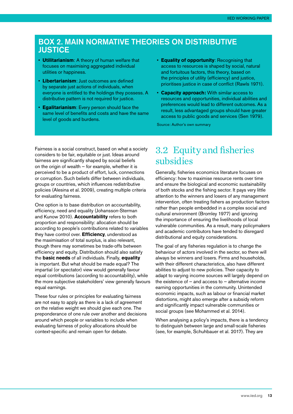#### <span id="page-12-0"></span>Box 2. Main normative theories on distributive **JUSTICE**

- **Utilitarianism**: A theory of human welfare that focuses on maximising aggregated individual utilities or happiness.
- **Libertarianism**: Just outcomes are defined by separate just actions of individuals, when everyone is entitled to the holdings they possess. A distributive pattern is not required for justice.
- **Egalitarianism**: Every person should face the same level of benefits and costs and have the same level of goods and burdens.
- **Equality of opportunity**: Recognising that access to resources is shaped by social, natural and fortuitous factors, this theory, based on the principles of utility (efficiency) and justice, prioritises justice in case of conflict (Rawls 1971).
- **Capacity approach:** With similar access to resources and opportunities, individual abilities and preferences would lead to different outcomes. As a result, less advantaged groups should have greater access to public goods and services (Sen 1979).

Source: Author's own summary

Fairness is a social construct, based on what a society considers to be fair, equitable or just. Ideas around fairness are significantly shaped by social beliefs on the origin of wealth — for example, whether it is perceived to be a product of effort, luck, connections or corruption. Such beliefs differ between individuals, groups or countries, which influences redistributive policies (Alesina et al. 2009), creating multiple criteria for evaluating fairness.

One option is to base distribution on accountability, efficiency, need and equality (Johansson-Sterman and Kunow 2010). **Accountability** refers to both proportion and responsibility: allocation should be according to people's contributions related to variables they have control over. **Efficiency**, understood as the maximisation of total surplus, is also relevant, though there may sometimes be trade-offs between efficiency and equity. Distribution should also satisfy the **basic needs** of all individuals. Finally, **equality** is important. But what should be made equal? The impartial (or spectator) view would generally favour equal contributions (according to accountability), while the more subjective stakeholders' view generally favours equal earnings.

These four rules or principles for evaluating fairness are not easy to apply as there is a lack of agreement on the relative weight we should give each one. The preponderance of one rule over another and decisions around which people or variables to include when evaluating fairness of policy allocations should be context-specific and remain open for debate.

#### 3.2 Equity and fisheries subsidies

Generally, fisheries economics literature focuses on efficiency: how to maximise resource rents over time and ensure the biological and economic sustainability of both stocks and the fishing sector. It pays very little attention to the winners and losers of any management intervention, often treating fishers as production factors rather than people embedded in a complex social and cultural environment (Bromley 1977) and ignoring the importance of ensuring the livelihoods of local vulnerable communities. As a result, many policymakers and academic contributors have tended to disregard distributional and equity considerations.

The goal of any fisheries regulation is to change the behaviour of actors involved in the sector, so there will always be winners and losers. Firms and households, with their different characteristics, also have different abilities to adjust to new policies. Their capacity to adapt to varying income sources will largely depend on the existence of  $-$  and access to  $-$  alternative income earning opportunities in the community. Unintended economic impacts, such as labour or financial market distortions, might also emerge after a subsidy reform and significantly impact vulnerable communities or social groups (see Mohammed et al. 2014).

When analysing a policy's impacts, there is a tendency to distinguish between large and small-scale fisheries (see, for example, Schuhbauer et al. 2017). They are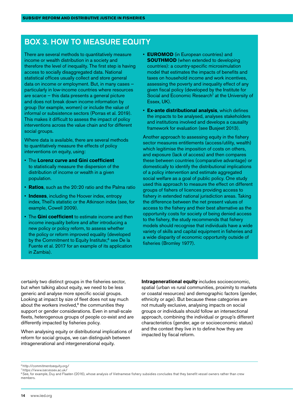#### BOX 3. HOW TO MEASURE EQUITY

There are several methods to quantitatively measure income or wealth distribution in a society and therefore the level of inequality. The first step is having access to socially disaggregated data. National statistical offices usually collect and store general data on income or employment. But, in many cases particularly in low-income countries where resources are scarce — this data presents a general picture and does not break down income information by group (for example, women) or include the value of informal or subsistence sectors (Porras et al. 2019). This makes it difficult to assess the impact of policy interventions across the value chain and for different social groups.

Where data is available, there are several methods to quantitatively measure the effects of policy interventions on equity, using:

- The **Lorenz curve and Gini coefficient** to statistically measure the dispersion of the distribution of income or wealth in a given population.
- **Ratios**, such as the 20:20 ratio and the Palma ratio
- **Indexes**, including the Hoover index, entropy index, Theil's statistic or the Atkinson index (see, for example, Cowell 2009).
- The **Gini coefficient** to estimate income and then income inequality before and after introducing a new policy or policy reform, to assess whether the policy or reform improved equality (developed by the Commitment to Equity Institute:<sup>6</sup> see De la Fuente et al. 2017 for an example of its application in Zambia).
- **EUROMOD** (in European countries) and **SOUTHMOD** (when extended to developing countries): a country-specific microsimulation model that estimates the impacts of benefits and taxes on household income and work incentives, assessing the poverty and inequality effect of any given fiscal policy (developed by the Institute for Social and Economic Research<sup>7</sup> at the University of Essex, UK).
- **Ex-ante distributional analysis**, which defines the impacts to be analysed, analyses stakeholders and institutions involved and develops a causality framework for evaluation (see Busjeet 2013).

Another approach to assessing equity in the fishery sector measures entitlements (access/utility, wealth) which legitimise the imposition of costs on others, and exposure (lack of access) and then compares these between countries (comparative advantage) or domestically to identify the distributional implications of a policy intervention and estimate aggregated social welfare as a goal of public policy. One study used this approach to measure the effect on different groups of fishers of licences providing access to fishery in extended national jurisdiction areas. Taking the difference between the net present values of access to the fishery and their best alternative as the opportunity costs for society of being denied access to the fishery, the study recommends that fishery models should recognise that individuals have a wide variety of skills and capital equipment in fisheries and a wide disparity of economic opportunity outside of fisheries (Bromley 1977).

certainly two distinct groups in the fisheries sector, but when talking about equity, we need to be less generic and analyse more specific social groups. Looking at impact by size of fleet does not say much about the workers involved. $8$  the communities they support or gender considerations. Even in small-scale fleets, heterogenous groups of people co-exist and are differently impacted by fisheries policy.

When analysing equity or distributional implications of reform for social groups, we can distinguish between intragenerational and intergenerational equity.

**Intragenerational equity** includes socioeconomic. spatial (urban vs rural communities, proximity to markets or coastal resources) and demographic factors (gender, ethnicity or age). But because these categories are not mutually exclusive, analysing impacts on social groups or individuals should follow an intersectional approach, combining the individual or group's different characteristics (gender, age or socioeconomic status) and the context they live in to define how they are impacted by fiscal reform.

<sup>6</sup><http://commitmentoequity.org/> 7<https://www.iser.essex.ac.uk/>

<sup>&</sup>lt;sup>8</sup> See, for example, Duy and Flaaten (2016), whose analysis of Vietnamese fishery subsidies concludes that they benefit vessel owners rather than crew members.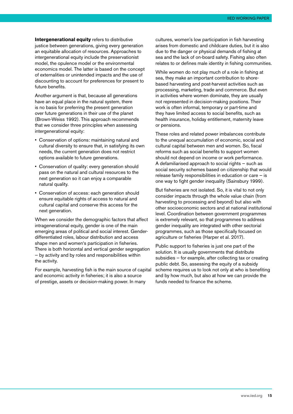**Intergenerational equity** refers to distributive justice between generations, giving every generation an equitable allocation of resources. Approaches to intergenerational equity include the preservationist model, the opulence model or the environmental economics model. The latter is based on the concept of externalities or unintended impacts and the use of discounting to account for preferences for present to future benefits.

Another argument is that, because all generations have an equal place in the natural system, there is no basis for preferring the present generation over future generations in their use of the planet (Brown-Weiss 1992). This approach recommends that we consider three principles when assessing intergenerational equity:

- Conservation of options: maintaining natural and cultural diversity to ensure that, in satisfying its own needs, the current generation does not restrict options available to future generations.
- Conservation of quality: every generation should pass on the natural and cultural resources to the next generation so it can enjoy a comparable natural quality.
- Conservation of access: each generation should ensure equitable rights of access to natural and cultural capital and conserve this access for the next generation.

When we consider the demographic factors that affect intragenerational equity, gender is one of the main emerging areas of political and social interest. Genderdifferentiated roles, labour distribution and access shape men and women's participation in fisheries. There is both horizontal and vertical gender segregation — by activity and by roles and responsibilities within the activity.

For example, harvesting fish is the main source of capital and economic activity in fisheries; it is also a source of prestige, assets or decision-making power. In many

cultures, women's low participation in fish harvesting arises from domestic and childcare duties, but it is also due to the danger or physical demands of fishing at sea and the lack of on-board safety. Fishing also often relates to or defines male identity in fishing communities.

While women do not play much of a role in fishing at sea, they make an important contribution to shorebased harvesting and post-harvest activities such as processing, marketing, trade and commerce. But even in activities where women dominate, they are usually not represented in decision-making positions. Their work is often informal, temporary or part-time and they have limited access to social benefits, such as health insurance, holiday entitlement, maternity leave or pensions.

These roles and related power imbalances contribute to the unequal accumulation of economic, social and cultural capital between men and women. So, fiscal reforms such as social benefits to support women should not depend on income or work performance. A defamiliarised approach to social rights — such as social security schemes based on citizenship that would release family responsibilities in education or care — is one way to fight gender inequality (Sainsbury 1999).

But fisheries are not isolated. So, it is vital to not only consider impacts through the whole value chain (from harvesting to processing and beyond) but also with other socioeconomic sectors and at national institutional level. Coordination between government programmes is extremely relevant, so that programmes to address gender inequality are integrated with other sectorial programmes, such as those specifically focused on agriculture or fisheries (Harper et al. 2017).

Public support to fisheries is just one part of the solution. It is usually governments that distribute subsidies — for example, after collecting tax or creating public debt. So, assessing the equity of a subsidy scheme requires us to look not only at who is benefiting and by how much, but also at how we can provide the funds needed to finance the scheme.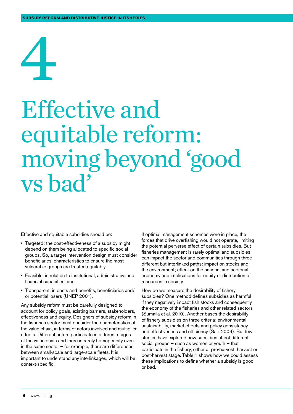# <span id="page-15-0"></span>4

### Effective and equitable reform: moving beyond 'good vs bad'

Effective and equitable subsidies should be:

- Targeted: the cost-effectiveness of a subsidy might depend on them being allocated to specific social groups. So, a target intervention design must consider beneficiaries' characteristics to ensure the most vulnerable groups are treated equitably.
- Feasible, in relation to institutional, administrative and financial capacities, and
- Transparent, in costs and benefits, beneficiaries and/ or potential losers (UNEP 2001).

Any subsidy reform must be carefully designed to account for policy goals, existing barriers, stakeholders, effectiveness and equity. Designers of subsidy reform in the fisheries sector must consider the characteristics of the value chain, in terms of actors involved and multiplier effects. Different actors participate in different stages of the value chain and there is rarely homogeneity even in the same sector — for example, there are differences between small-scale and large-scale fleets. It is important to understand any interlinkages, which will be context-specific.

If optimal management schemes were in place, the forces that drive overfishing would not operate, limiting the potential perverse effect of certain subsidies. But fisheries management is rarely optimal and subsidies can impact the sector and communities through three different but interlinked paths: impact on stocks and the environment; effect on the national and sectorial economy and implications for equity or distribution of resources in society.

How do we measure the desirability of fishery subsidies? One method defines subsidies as harmful if they negatively impact fish stocks and consequently the economy of the fisheries and other related sectors (Sumaila et al. 2010). Another bases the desirability of fishery subsidies on three criteria: environmental sustainability, market effects and policy consistency and effectiveness and efficiency (Salz 2009). But few studies have explored how subsidies affect different social groups  $-$  such as women or youth  $-$  that participate in the fishery, either at pre-harvest, harvest or post-harvest stage. Table 1 shows how we could assess these implications to define whether a subsidy is good or bad.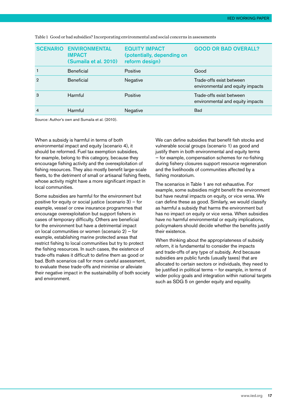| <b>SCENARIO</b> | <b>ENVIRONMENTAL</b><br><b>IMPACT</b><br>(Sumaila et al. 2010) | <b>EQUITY IMPACT</b><br>(potentially, depending on<br>reform design) | <b>GOOD OR BAD OVERALL?</b>                                  |
|-----------------|----------------------------------------------------------------|----------------------------------------------------------------------|--------------------------------------------------------------|
|                 | <b>Beneficial</b>                                              | Positive                                                             | Good                                                         |
| 2               | <b>Beneficial</b>                                              | Negative                                                             | Trade-offs exist between<br>environmental and equity impacts |
| 3               | Harmful                                                        | Positive                                                             | Trade-offs exist between<br>environmental and equity impacts |
| $\overline{4}$  | Harmful                                                        | Negative                                                             | <b>Bad</b>                                                   |

Table 1 Good or bad subsidies? Incorporating environmental and social concerns in assessments

Source: Author's own and Sumaila et al. (2010).

When a subsidy is harmful in terms of both environmental impact and equity (scenario 4), it should be reformed. Fuel tax exemption subsidies, for example, belong to this category, because they encourage fishing activity and the overexploitation of fishing resources. They also mostly benefit large-scale fleets, to the detriment of small or artisanal fishing fleets, whose activity might have a more significant impact in local communities.

Some subsidies are harmful for the environment but positive for equity or social justice (scenario 3) — for example, vessel or crew insurance programmes that encourage overexploitation but support fishers in cases of temporary difficulty. Others are beneficial for the environment but have a detrimental impact on local communities or women (scenario 2) — for example, establishing marine protected areas that restrict fishing to local communities but try to protect the fishing resources. In such cases, the existence of trade-offs makes it difficult to define them as good or bad. Both scenarios call for more careful assessment, to evaluate these trade-offs and minimise or alleviate their negative impact in the sustainability of both society and environment.

We can define subsidies that benefit fish stocks and vulnerable social groups (scenario 1) as good and justify them in both environmental and equity terms — for example, compensation schemes for no-fishing during fishery closures support resource regeneration and the livelihoods of communities affected by a fishing moratorium.

The scenarios in Table 1 are not exhaustive. For example, some subsidies might benefit the environment but have neutral impacts on equity, or vice versa. We can define these as good. Similarly, we would classify as harmful a subsidy that harms the environment but has no impact on equity or vice versa. When subsidies have no harmful environmental or equity implications, policymakers should decide whether the benefits justify their existence.

When thinking about the appropriateness of subsidy reform, it is fundamental to consider the impacts and trade-offs of any type of subsidy. And because subsidies are public funds (usually taxes) that are allocated to certain sectors or individuals, they need to be justified in political terms — for example, in terms of wider policy goals and integration within national targets such as SDG 5 on gender equity and equality.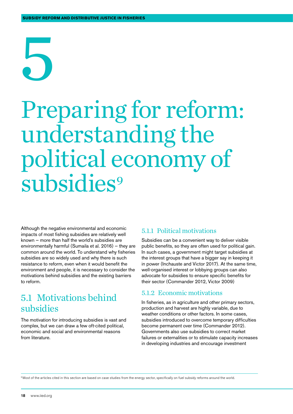# <span id="page-17-0"></span>5

### Preparing for reform: understanding the political economy of subsidies<sup>9</sup>

Although the negative environmental and economic impacts of most fishing subsidies are relatively well known — more than half the world's subsidies are environmentally harmful (Sumaila et al. 2016) — they are common around the world. To understand why fisheries subsidies are so widely used and why there is such resistance to reform, even when it would benefit the environment and people, it is necessary to consider the motivations behind subsidies and the existing barriers to reform.

#### 5.1 Motivations behind subsidies

The motivation for introducing subsidies is vast and complex, but we can draw a few oft-cited political, economic and social and environmental reasons from literature.

#### 5.1.1 Political motivations

Subsidies can be a convenient way to deliver visible public benefits, so they are often used for political gain. In such cases, a government might target subsidies at the interest groups that have a bigger say in keeping it in power (Inchauste and Victor 2017). At the same time, well-organised interest or lobbying groups can also advocate for subsidies to ensure specific benefits for their sector (Commander 2012, Victor 2009)

#### 5.1.2 Economic motivations

In fisheries, as in agriculture and other primary sectors, production and harvest are highly variable, due to weather conditions or other factors. In some cases, subsidies introduced to overcome temporary difficulties become permanent over time (Commander 2012). Governments also use subsidies to correct market failures or externalities or to stimulate capacity increases in developing industries and encourage investment

9 Most of the articles cited in this section are based on case studies from the energy sector, specifically on fuel subsidy reforms around the world.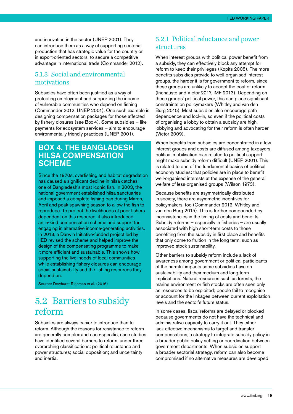<span id="page-18-0"></span>and innovation in the sector (UNEP 2001). They can introduce them as a way of supporting sectorial production that has strategic value for the country or, in export-oriented sectors, to secure a competitive advantage in international trade (Commander 2012).

#### 5.1.3 Social and environmental motivations

Subsidies have often been justified as a way of protecting employment and supporting the income of vulnerable communities who depend on fishing (Commander 2012, UNEP 2001). One such example is designing compensation packages for those affected by fishery closures (see Box 4). Some subsidies — like payments for ecosystem services — aim to encourage environmentally friendly practices (UNEP 2001).

#### Box 4. The Bangladesh hilsa compensation **SCHEME**

Since the 1970s, overfishing and habitat degradation has caused a significant decline in hilsa catches, one of Bangladesh's most iconic fish. In 2003, the national government established hilsa sanctuaries and imposed a complete fishing ban during March, April and peak spawning season to allow the fish to reproduce. To protect the livelihoods of poor fishers dependent on this resource, it also introduced an in-kind compensation scheme and support for engaging in alternative income-generating activities. In 2013, a Darwin Initiative-funded project led by IIED revised the scheme and helped improve the design of the compensating programme to make it more efficient and sustainable. This shows how supporting the livelihoods of local communities while establishing fishery closures can encourage social sustainability and the fishing resources they depend on.

Source: Dewhurst-Richman et al. (2016)

#### 5.2 Barriers to subsidy reform

Subsidies are always easier to introduce than to reform. Although the reasons for resistance to reform are generally complex and case-specific, case studies have identified several barriers to reform, under three overarching classifications: political reluctance and power structures; social opposition; and uncertainty and inertia.

#### 5.2.1 Political reluctance and power structures

When interest groups with political power benefit from a subsidy, they can effectively block any attempt for reform to keep their privileges (Kopits 2008). The more benefits subsidies provide to well-organised interest groups, the harder it is for government to reform, since these groups are unlikely to accept the cost of reform (Inchauste and Victor 2017, IMF 2013). Depending on these groups' political power, this can place significant constraints on policymakers (Whitley and van den Burg 2015). Most subsidies also encourage path dependence and lock-in, so even if the political costs of organising a lobby to obtain a subsidy are high, lobbying and advocating for their reform is often harder (Victor 2009).

When benefits from subsidies are concentrated in a few interest groups and costs are diffused among taxpayers, political mobilisation bias related to political support might make subsidy reform difficult (UNEP 2001). This is related to one of the fundamental basics of political economy studies: that policies are in place to benefit well-organised interests at the expense of the general welfare of less-organised groups (Wilson 1973).

Because benefits are asymmetrically distributed in society, there are asymmetric incentives for policymakers, too (Commander 2012, Whitley and van den Burg 2015). This is further compounded by inconsistencies in the timing of costs and benefits. Subsidy reforms — especially in fisheries — are usually associated with high short-term costs to those benefiting from the subsidy in first place and benefits that only come to fruition in the long term, such as improved stock sustainability.

Other barriers to subsidy reform include a lack of awareness among government or political participants of the harmful impacts some subsidies have on sustainability and their medium and long-term implications. Natural resources such as forests, the marine environment or fish stocks are often seen only as resources to be exploited; people fail to recognise or account for the linkages between current exploitation levels and the sector's future status.

In some cases, fiscal reforms are delayed or blocked because governments do not have the technical and administrative capacity to carry it out. They either lack effective mechanisms to target and transfer compensations, a strategy to integrate subsidy policy in a broader public policy setting or coordination between government departments. When subsidies support a broader sectorial strategy, reform can also become compromised if no alternative measures are developed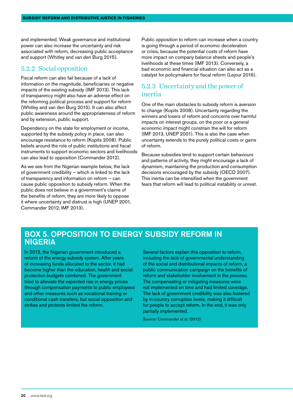and implemented. Weak governance and institutional power can also increase the uncertainty and risk associated with reform, decreasing public acceptance and support (Whitley and van den Burg 2015).

#### 5.2.2 Social opposition

Fiscal reform can also fail because of a lack of information on the magnitude, beneficiaries or negative impacts of the existing subsidy (IMF 2013). This lack of transparency might also have an adverse effect on the reforming political process and support for reform (Whitley and van den Burg 2015). It can also affect public awareness around the appropriateness of reform and by extension, public support.

Dependency on the state for employment or income, supported by the subsidy policy in place, can also encourage resistance to reform (Kopits 2008). Public beliefs around the role of public institutions and fiscal instruments to support economic sectors and livelihoods can also lead to opposition (Commander 2012).

As we see from the Nigerian example below, the lack of government credibility — which is linked to the lack of transparency and information on reform — can cause public opposition to subsidy reform. When the public does not believe in a government's claims of the benefits of reform, they are more likely to oppose it where uncertainty and distrust is high (UNEP 2001, Commander 2012, IMF 2013).

Public opposition to reform can increase when a country is going through a period of economic deceleration or crisis, because the potential costs of reform have more impact on company balance sheets and people's livelihoods at these times (IMF 2013). Conversely, a bad economic and financial situation can also act as a catalyst for policymakers for fiscal reform (Lejour 2016).

#### 5.2.3 Uncertainty and the power of inertia

One of the main obstacles to subsidy reform is aversion to change (Kopits 2008). Uncertainty regarding the winners and losers of reform and concerns over harmful impacts on interest groups, on the poor or a general economic impact might constrain the will for reform (IMF 2013, UNEP 2001). This is also the case when uncertainty extends to the purely political costs or gains of reform.

Because subsidies tend to support certain behaviours and patterns of activity, they might encourage a lack of dynamism, maintaining the production and consumption decisions encouraged by the subsidy (OECD 2007). This inertia can be intensified when the government fears that reform will lead to political instability or unrest.

#### Box 5. Opposition to energy subsidy reform in **NIGERIA**

In 2012, the Nigerian government introduced a reform of the energy subsidy system. After years of increasing funds allocated to the sector, it had become higher than the education, health and social protection budgets combined. The government tried to alleviate the expected rise in energy prices through compensation payments to public employees and other measures such as vocational training or conditional cash transfers, but social opposition and strikes and protests limited the reform.

Several factors explain this opposition to reform, including the lack of governmental understanding of the social and distributional impacts of reform, a public communication campaign on the benefits of reform and stakeholder involvement in the process. The compensating or mitigating measures were not implemented on time and had limited coverage. The lack of government credibility was also fostered by in-country corruption levels, making it difficult for people to accept reform. In the end, it was only partially implemented.

Source: Commander et al. (2012)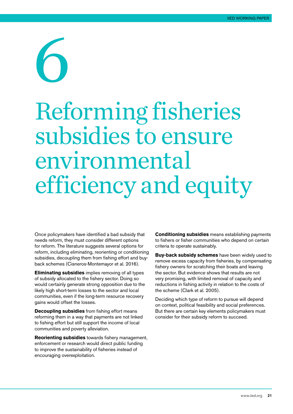# <span id="page-20-0"></span>6

## Reforming fisheries subsidies to ensure environmental efficiency and equity

Once policymakers have identified a bad subsidy that needs reform, they must consider different options for reform. The literature suggests several options for reform, including eliminating, reorienting or conditioning subsidies, decoupling them from fishing effort and buyback schemes (Cisneros-Montemayor et al. 2016).

**Eliminating subsidies** implies removing of all types of subsidy allocated to the fishery sector. Doing so would certainly generate strong opposition due to the likely high short-term losses to the sector and local communities, even if the long-term resource recovery gains would offset the losses.

**Decoupling subsidies** from fishing effort means reforming them in a way that payments are not linked to fishing effort but still support the income of local communities and poverty alleviation.

**Reorienting subsidies** towards fishery management, enforcement or research would direct public funding to improve the sustainability of fisheries instead of encouraging overexploitation.

**Conditioning subsidies** means establishing payments to fishers or fisher communities who depend on certain criteria to operate sustainably.

**Buy-back subsidy schemes** have been widely used to remove excess capacity from fisheries, by compensating fishery owners for scratching their boats and leaving the sector. But evidence shows that results are not very promising, with limited removal of capacity and reductions in fishing activity in relation to the costs of the scheme (Clark et al. 2005).

Deciding which type of reform to pursue will depend on context, political feasibility and social preferences. But there are certain key elements policymakers must consider for their subsidy reform to succeed.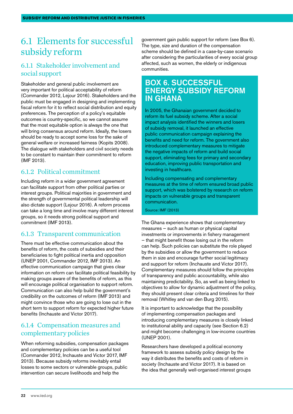#### <span id="page-21-0"></span>6.1 Elements for successful subsidy reform

#### 6.1.1 Stakeholder involvement and social support

Stakeholder and general public involvement are very important for political acceptability of reform (Commander 2012, Lejour 2016). Stakeholders and the public must be engaged in designing and implementing fiscal reform for it to reflect social distribution and equity preferences. The perception of a policy's equitable outcomes is country-specific, so we cannot assume that the most equitable option is always the one that will bring consensus around reform. Ideally, the losers should be ready to accept some loss for the sake of general welfare or increased fairness (Kopits 2008). The dialogue with stakeholders and civil society needs to be constant to maintain their commitment to reform (IMF 2013).

#### 6.1.2 Political commitment

Including reform in a wider government agreement can facilitate support from other political parties or interest groups. Political majorities in government and the strength of governmental political leadership will also dictate support (Lejour 2016). A reform process can take a long time and involve many different interest groups, so it needs strong political support and commitment (IMF 2013).

#### 6.1.3 Transparent communication

There must be effective communication about the benefits of reform, the costs of subsidies and their beneficiaries to fight political inertia and opposition (UNEP 2001, Commander 2012, IMF 2013). An effective communication campaign that gives clear information on reform can facilitate political feasibility by making groups aware of the benefits of reform, as this will encourage political organisation to support reform. Communication can also help build the government's credibility on the outcomes of reform (IMF 2013) and might convince those who are going to lose out in the short term to support reform for expected higher future benefits (Inchauste and Victor 2017).

#### 6.1.4 Compensation measures and complementary policies

When reforming subsidies, compensation packages and complementary policies can be a useful tool (Commander 2012, Inchauste and Victor 2017, IMF 2013). Because subsidy reforms inevitably entail losses to some sectors or vulnerable groups, public intervention can secure livelihoods and help the

government gain public support for reform (see Box 6). The type, size and duration of the compensation scheme should be defined in a case-by-case scenario after considering the particularities of every social group affected, such as women, the elderly or indigenous communities.

#### Box 6. Successful energy subsidy reform in Ghana

In 2005, the Ghanaian government decided to reform its fuel subsidy scheme. After a social impact analysis identified the winners and losers of subsidy removal, it launched an effective public communication campaign explaining the benefits and need for reform. The government also introduced complementary measures to mitigate the negative impacts of reform and build social support, eliminating fees for primary and secondary education, improving public transportation and investing in healthcare.

Including compensating and complementary measures at the time of reform ensured broad public support, which was bolstered by research on reform impacts on vulnerable groups and transparent communication.

Source: IMF (2013)

The Ghana experience shows that complementary measures — such as human or physical capital investments or improvements in fishery management — that might benefit those losing out in the reform can help. Such policies can substitute the role played by the subsidies or allow the government to reduce them in size and encourage further social legitimacy and support for reform (Inchauste and Victor 2017). Complementary measures should follow the principles of transparency and public accountability, while also maintaining predictability. So, as well as being linked to objectives to allow for dynamic adjustment of the policy, they should present clear criteria and timelines for their removal (Whitley and van den Burg 2015).

It is important to acknowledge that the possibility of implementing compensation packages and introducing complementary measures is closely linked to institutional ability and capacity (see Section 6.2) and might become challenging in low-income countries (UNEP 2001).

Researchers have developed a political economy framework to assess subsidy policy design by the way it distributes the benefits and costs of reform in society (Inchauste and Victor 2017). It is based on the idea that generally well-organised interest groups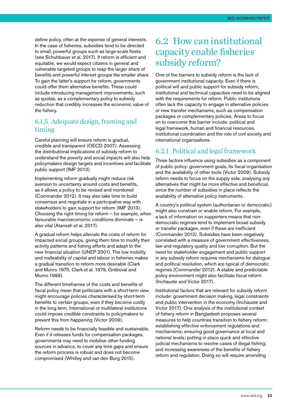<span id="page-22-0"></span>define policy, often at the expense of general interests. In the case of fisheries, subsidies tend to be directed to small, powerful groups such as large-scale fleets (see Schuhbauer et al. 2017). If reform is efficient and equitable, we would expect citizens in general and vulnerable targeted groups to reap the larger share of benefits and powerful interest groups the smaller share. To gain the latter's support for reform, governments could offer them alternative benefits. These could include introducing management improvements, such as quotas, as a complementary policy to subsidy reduction that credibly increases the economic value of the fishery.

#### 6.1.5 Adequate design, framing and timing

Careful planning will ensure reform is gradual, credible and transparent (OECD 2007). Assessing the distributional implications of subsidy reform to understand the poverty and social impacts will also help policymakers design targets and incentives and facilitate public support (IMF 2013).

Implementing reform gradually might reduce risk aversion to uncertainty around costs and benefits, as it allows a policy to be revised and monitored (Commander 2012). It may also take time to build consensus and negotiate in a participative way with stakeholders to gain support for reform (IMF 2013). Choosing the right timing for reform  $-$  for example, when favourable macroeconomic conditions dominate — is also vital (Atansah et al. 2017).

A gradual reform helps alleviate the costs of reform for impacted social groups, giving them time to modify their activity patterns and fishing efforts and adapt to the new financial situation (UNEP 2001). The low mobility and malleability of capital and labour in fisheries makes a gradual transition to reform more desirable (Clark and Munro 1975, Clark et al. 1979, Gréboval and Munro 1999).

The different timeframes of the costs and benefits of fiscal policy mean that politicians with a short-term view might encourage policies characterised by short-term benefits to certain groups, even if they become costly in the long term. International or multilateral institutions could impose credible constraints to policymakers to prevent this from happening (Victor 2009).

Reform needs to be financially feasible and sustainable. Even if it releases funds for compensation packages, governments may need to mobilise other funding sources in advance, to cover any time gaps and ensure the reform process is robust and does not become compromised (Whitley and van den Burg 2015).

#### 6.2 How can institutional capacity enable fisheries subsidy reform?

One of the barriers to subsidy reform is the lack of government institutional capacity. Even if there is political will and public support for subsidy reform, institutional and technical capacities need to be aligned with the requirements for reform. Public institutions often lack the capacity to engage in alternative policies or new transfer mechanisms, such as compensation packages or complementary policies. Areas to focus on to overcome this barrier include: political and legal framework, human and financial resources, institutional coordination and the role of civil society and international organisations.

#### 6.2.1 Political and legal framework

Three factors influence using subsidies as a component of public policy: government goals, its fiscal organisation and the availability of other tools (Victor 2009). Subsidy reform needs to focus on the supply side, analysing any alternatives that might be more effective and beneficial, since the number of subsidies in place reflects the availability of alternative policy instruments.

A country's political system (authoritarian or democratic) might also constrain or enable reform. For example, a lack of information on supporters means that nondemocratic regimes tend to implement broad subsidy or transfer packages, even if these are inefficient (Commander 2012). Subsidies have been negatively correlated with a measure of government effectiveness, law and regulatory quality and low corruption. But the need for stakeholder engagement and public support in any subsidy reform requires mechanisms for dialogue and political resolution, which are typical of democratic regimes (Commander 2012). A stable and predictable policy environment might also facilitate fiscal reform (Inchauste and Victor 2017).

Institutional factors that are relevant for subsidy reform include: government decision making, legal constraints and public intervention in the economy (Inchauste and Victor 2017). One analysis of the institutional context of fishery reform in Bangladesh proposes several measures to help countries transition to fishery reform: establishing effective enforcement regulations and mechanisms; ensuring good governance at local and national levels; putting in place quick and effective judicial mechanisms to resolve cases of illegal fishing; and increasing awareness of the benefits of fishery reform and regulation. Doing so will require amending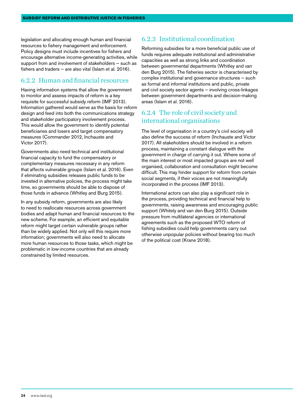legislation and allocating enough human and financial resources to fishery management and enforcement. Policy designs must include incentives for fishers and encourage alternative income-generating activities, while support from and involvement of stakeholders — such as fishers and traders — are also vital (Islam et al. 2016).

#### 6.2.2 Human and financial resources

Having information systems that allow the government to monitor and assess impacts of reform is a key requisite for successful subsidy reform (IMF 2013). Information gathered would serve as the basis for reform design and feed into both the communications strategy and stakeholder participatory involvement process. This would allow the government to identify potential beneficiaries and losers and target compensatory measures (Commander 2012, Inchauste and Victor 2017).

Governments also need technical and institutional financial capacity to fund the compensatory or complementary measures necessary in any reform that affects vulnerable groups (Islam et al. 2016). Even if eliminating subsidies releases public funds to be invested in alternative policies, the process might take time, so governments should be able to dispose of those funds in advance (Whitley and Burg 2015).

In any subsidy reform, governments are also likely to need to reallocate resources across government bodies and adapt human and financial resources to the new scheme. For example, an efficient and equitable reform might target certain vulnerable groups rather than be widely applied. Not only will this require more information; governments will also need to allocate more human resources to those tasks, which might be problematic in low-income countries that are already constrained by limited resources.

#### 6.2.3 Institutional coordination

Reforming subsidies for a more beneficial public use of funds requires adequate institutional and administrative capacities as well as strong links and coordination between governmental departments (Whitley and van den Burg 2015). The fisheries sector is characterised by complex institutional and governance structures — such as formal and informal institutions and public, private and civil society sector agents — involving cross-linkages between government departments and decision-making areas (Islam et al. 2016).

#### 6.2.4 The role of civil society and international organisations

The level of organisation in a country's civil society will also define the success of reform (Inchauste and Victor 2017). All stakeholders should be involved in a reform process, maintaining a constant dialogue with the government in charge of carrying it out. Where some of the main interest or most impacted groups are not well organised, collaboration and consultation might become difficult. This may hinder support for reform from certain social segments, if their voices are not meaningfully incorporated in the process (IMF 2013).

International actors can also play a significant role in the process, providing technical and financial help to governments, raising awareness and encouraging public support (Whitely and van den Burg 2015). Outside pressure from multilateral agencies or international agreements such as the proposed WTO reform of fishing subsidies could help governments carry out otherwise unpopular policies without bearing too much of the political cost (Krane 2018).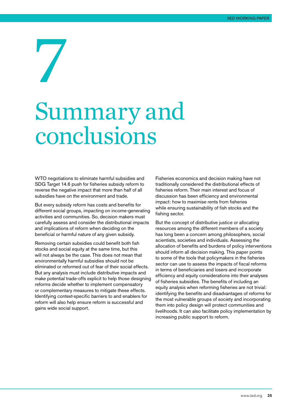## <span id="page-24-0"></span>7 Summary and conclusions

WTO negotiations to eliminate harmful subsidies and SDG Target 14.6 push for fisheries subsidy reform to reverse the negative impact that more than half of all subsidies have on the environment and trade.

But every subsidy reform has costs and benefits for different social groups, impacting on income-generating activities and communities. So, decision makers must carefully assess and consider the distributional impacts and implications of reform when deciding on the beneficial or harmful nature of any given subsidy.

Removing certain subsidies could benefit both fish stocks and social equity at the same time, but this will not always be the case. This does not mean that environmentally harmful subsidies should not be eliminated or reformed out of fear of their social effects. But any analysis must include distributive impacts and make potential trade-offs explicit to help those designing reforms decide whether to implement compensatory or complementary measures to mitigate these effects. Identifying context-specific barriers to and enablers for reform will also help ensure reform is successful and gains wide social support.

Fisheries economics and decision making have not traditionally considered the distributional effects of fisheries reform. Their main interest and focus of discussion has been efficiency and environmental impact: how to maximise rents from fisheries while ensuring sustainability of fish stocks and the fishing sector.

But the concept of distributive justice or allocating resources among the different members of a society has long been a concern among philosophers, social scientists, societies and individuals. Assessing the allocation of benefits and burdens of policy interventions should inform all decision making. This paper points to some of the tools that policymakers in the fisheries sector can use to assess the impacts of fiscal reforms in terms of beneficiaries and losers and incorporate efficiency and equity considerations into their analyses of fisheries subsidies. The benefits of including an equity analysis when reforming fisheries are not trivial: identifying the benefits and disadvantages of reforms for the most vulnerable groups of society and incorporating them into policy design will protect communities and livelihoods. It can also facilitate policy implementation by increasing public support to reform.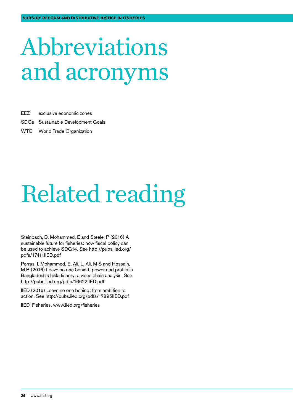## <span id="page-25-0"></span>Abbreviations and acronyms

EEZ exclusive economic zones

- SDGs Sustainable Development Goals
- WTO World Trade Organization

## Related reading

Steinbach, D, Mohammed, E and Steele, P (2016) A sustainable future for fisheries: how fiscal policy can be used to achieve SDG14. See [http://pubs.iied.org/](http://pubs.iied.org/pdfs/17411IIED.pdf) [pdfs/17411IIED.pdf](http://pubs.iied.org/pdfs/17411IIED.pdf)

Porras, I, Mohammed, E, Ali, L, Ali, M S and Hossain, M B (2016) Leave no one behind: power and profits in Bangladesh's hisla fishery: a value chain analysis. See <http://pubs.iied.org/pdfs/16622IIED.pdf>

IIED (2016) Leave no one behind: from ambition to action. See <http://pubs.iied.org/pdfs/17395IIED.pdf>

IIED, Fisheries. [www.iied.org/fisheries](http://www.iied.org/fisheries)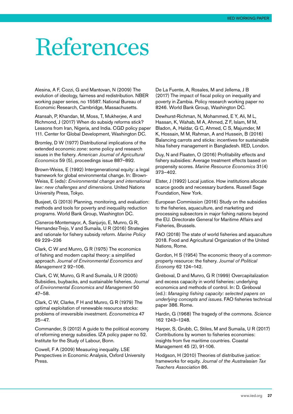### <span id="page-26-0"></span>References

Alesina, A F, Cozzi, G and Mantovan, N (2009) The evolution of ideology, fairness and redistribution. NBER working paper series, no 15587. National Bureau of Economic Research, Cambridge, Massachusetts.

Atansah, P, Khandan, M, Moss, T, Mukherjee, A and Richmond, J (2017) When do subsidy reforms stick? Lessons from Iran, Nigeria, and India. CGD policy paper 111. Center for Global Development, Washington DC.

Bromley, D W (1977) Distributional implications of the extended economic zone: some policy and research issues in the fishery. *American Journal of Agricultural Economics* 59 (5), proceedings issue 887–892.

Brown-Weiss, E (1992) Intergenerational equity: a legal framework for global environmental change. In: Brown-Weiss, E (eds): *Environmental change and international law: new challenges and dimensions*. United Nations University Press, Tokyo.

Busjeet, G (2013) Planning, monitoring, and evaluation: methods and tools for poverty and inequality reduction programs. World Bank Group, Washington DC.

Cisneros-Montemayor, A, Sanjurjo, E, Munro, G R, Hernandez-Trejo, V and Sumaila, U R (2016) Strategies and rationale for fishery subsidy reform. *Marine Policy* 69 229–236

Clark, C W and Munro, G R (1975) The economics of fishing and modern capital theory: a simplified approach. *Journal of Environmental Economics and Management* 2 92–106.

Clark, C W, Munro, G R and Sumaila, U R (2005) Subsidies, buybacks, and sustainable fisheries. *Journal of Environmental Economics and Management* 50 47–58.

Clark, C W, Clarke, F H and Munro, G R (1979) The optimal exploitation of renewable resource stocks: problems of irreversible investment. *Econometrica* 47 25–47.

Commander, S (2012) A guide to the political economy of reforming energy subsidies. IZA policy paper no 52. Institute for the Study of Labour, Bonn.

Cowell, F A (2009) Measuring inequality. LSE Perspectives in Economic Analysis, Oxford University Press.

De La Fuente, A, Rosales, M and Jellema, J B (2017) The impact of fiscal policy on inequality and poverty in Zambia. Policy research working paper no 8246. World Bank Group, Washington DC.

Dewhurst-Richman, N, Mohammed, E Y, Ali, M L, Hassan, K, Wahab, M A, Ahmed, Z F, Islam, M M, Bladon, A, Haldar, G C, Ahmed, C S, Majumder, M K, Hossain, M M, Rahman, A and Hussein, B (2016) Balancing carrots and sticks: incentives for sustainable hilsa fishery management in Bangladesh. IIED, London.

Duy, N and Flaaten, O (2016) Profitability effects and fishery subsidies: Average treatment effects based on propensity scores. *Marine Resource Economics* 31(4) 373–402.

Elster, J (1992) Local justice. How institutions allocate scarce goods and necessary burdens. Russell Sage Foundation, New York.

European Commission (2016) Study on the subsidies to the fisheries, aquaculture, and marketing and processing subsectors in major fishing nations beyond the EU. Directorate General for Maritime Affairs and Fisheries, Brussels.

FAO (2018) The state of world fisheries and aquaculture 2018. Food and Agricultural Organization of the United Nations, Rome.

Gordon, H S (1954) The economic theory of a commonproperty resource: the fishery. *Journal of Political Economy* 62 124–142.

Gréboval, D and Munro, G R (1999) Overcapitalization and excess capacity in world fisheries: underlying economics and methods of control. In: D. Gréboval (ed.): *Managing fishing capacity: selected papers on underlying concepts and issues*. FAO fisheries technical paper 386. Rome.

Hardin, G (1968) The tragedy of the commons. *Science* 162 1243–1248.

Harper, S, Grubb, C, Stiles, M and Sumaila, U R (2017) Contributions by women to fisheries economies: insights from five maritime countries. Coastal Management 45 (2), 91-106.

Hodgson, H (2010) Theories of distributive justice: frameworks for equity. *Journal of the Australasian Tax Teachers Association* 86.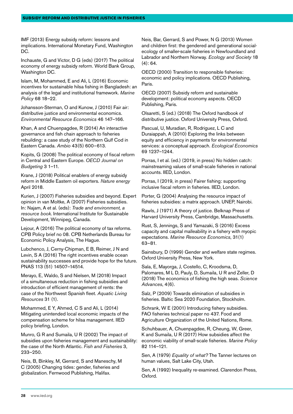IMF (2013) Energy subsidy reform: lessons and implications. International Monetary Fund, Washington DC.

Inchauste, G and Victor, D G (eds) (2017) The political economy of energy subsidy reform. World Bank Group, Washington DC.

Islam, M, Mohammed, E and Ali, L (2016) Economic incentives for sustainable hilsa fishing in Bangladesh: an analysis of the legal and institutional framework. *Marine Policy* 68 18–22.

Johansson-Sterman, O and Kunow, J (2010) Fair air: distributive justice and environmental economics. *Environmental Resource Economics* 46 147–166.

Khan, A and Chuenpagdee, R (2014) An interactive governance and fish chain approach to fisheries rebuilding: a case study of the Northern Gulf Cod in Eastern Canada. *Ambio* 43(5) 600–613.

Kopits, G (2008) The political economy of fiscal reform in Central and Eastern Europe. *OECD Journal on Budgeting* 3 1–11.

Krane, J (2018) Political enablers of energy subsidy reform in Middle Eastern oil exporters. *Nature energy*  April 2018.

Kurien, J (2007) Fisheries subsidies and beyond. Expert opinion in van Moltke, A (2007) Fisheries subsidies. In: Najam, A et al. (eds): *Trade and environment, a resource book*. International Institute for Sustainable Development, Winnipeg, Canada.

Lejour, A (2016) The political economy of tax reforms. CPB Policy brief no 08. CPB Netherlands Bureau for Economic Policy Analysis, The Hague.

Lubchenco, J, Cerny-Chipman, E B, Reimer, J N and Levin, S A (2016) The right incentives enable ocean sustainability successes and provide hope for the future. PNAS 113 (51) 14507–14514.

Merayo, E, Waldo, S and Nielsen, M (2018) Impact of a simultaneous reduction in fishing subsidies and introduction of efficient management of rents: the case of the Northwest Spanish fleet. *Aquatic Living Resources* 31 (1).

Mohammed, E Y, Ahmed, C S and Ali, L (2014) Mitigating unintended local economic impacts of the compensation scheme for hilsa management. IIED policy briefing, London.

Munro, G R and Sumaila, U R (2002) The impact of subsidies upon fisheries management and sustainability: the case of the North Atlantic. *Fish and Fisheries* 3, 233–250.

Neis, B, Binkley, M, Gerrard, S and Maneschy, M C (2005) Changing tides: gender, fisheries and globalization. Fernwood Publishing, Halifax.

Neis, Bar, Gerrard, S and Power, N G (2013) Women and children first: the gendered and generational socialecology of smaller-scale fisheries in Newfoundland and Labrador and Northern Norway. *Ecology and Society* 18  $(4): 64.$ 

OECD (2000) Transition to responsible fisheries: economic and policy implications. OECD Publishing, Paris.

OECD (2007) Subsidy reform and sustainable development: political economy aspects. OECD Publishing, Paris.

Olsaretti, S (ed.) (2018) The Oxford handbook of distributive justice. Oxford University Press, Oxford.

Pascual, U, Muradian, R, Rodriguez, L C and Duraiappah, A (2010) Exploring the links between equity and efficiency in payments for environmental services: a conceptual approach. *Ecological Economics* 69 1237–1244.

Porras, I et al. (ed.) (2019, in press) No hidden catch: mainstreaming values of small-scale fisheries in national accounts. IIED, London.

Porras, I (2019, in press) Fairer fishing: supporting inclusive fiscal reform in fisheries. IIED, London.

Porter, G (2004) Analysing the resource impact of fisheries subsidies: a matrix approach. UNEP, Nairobi.

Rawls, J (1971) A theory of justice. Belknap Press of Harvard University Press, Cambridge, Massachusetts.

Rust, S, Jennings, S and Yamazaki, S (2016) Excess capacity and capital malleability in a fishery with myopic expectations. *Marine Resource Economics*, 31(1) 63–81.

Sainsbury, D (1999) Gender and welfare state regimes. Oxford University Press, New York.

Sala, E, Mayorga, J, Costello, C, Kroodsma, D, Palomares, M L D, Pauly, D, Sumaila, U R and Zeller, D (2018) The economics of fishing the high seas. *Science Advances*, 4(6).

Salz, P (2009) Towards elimination of subsidies in fisheries. Baltic Sea 2020 Foundation, Stockholm.

Schrank, W E (2001) Introducing fishery subsidies. FAO fisheries technical paper no 437. Food and Agriculture Organization of the United Nations, Rome.

Schuhbauer, A, Chuenpagdee, R, Cheung, W, Greer, K and Sumaila, U R (2017) How subsidies affect the economic viability of small-scale fisheries. *Marine Policy*  82 114–121.

Sen, A (1979) *Equality of what?* The Tanner lectures on human values, Salt Lake City, Utah.

Sen, A (1992) Inequality re-examined. Clarendon Press, Oxford.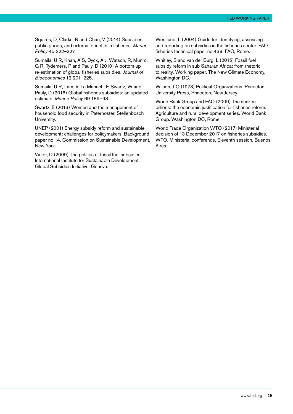Squires, D, Clarke, R and Chan, V (2014) Subsidies, public goods, and external benefits in fisheries. *Marine Policy* 45 222–227.

Sumaila, U R, Khan, A S, Dyck, A J, Watson, R, Munro, G R, Tydemers, P and Pauly, D (2010) A bottom-up re-estimation of global fisheries subsidies. *Journal of Bioeconomics* 12 201–225.

Sumaila, U R, Lam, V, Le Manach, F, Swartz, W and Pauly, D (2016) Global fisheries subsidies: an updated estimate. *Marine Policy* 69 189–93.

Swartz, E (2013) Women and the management of household food security in Paternoster. Stellenbosch University.

UNEP (2001) Energy subsidy reform and sustainable development: challenges for policymakers. Background paper no 14. Commission on Sustainable Development, New York.

Victor, D (2009) The politics of fossil fuel subsidies. International Institute for Sustainable Development, Global Subsidies Initiative, Geneva.

Westlund, L (2004) Guide for identifying, assessing and reporting on subsidies in the fisheries sector. FAO fisheries technical paper no 438. FAO, Rome.

Whitley, S and van der Burg, L (2015) Fossil fuel subsidy reform in sub Saharan Africa: from rhetoric to reality. Working paper. The New Climate Economy, Washington DC.

Wilson, J Q (1973) Political Organizations. Princeton University Press, Princeton, New Jersey.

World Bank Group and FAO (2009) The sunken billions: the economic justification for fisheries reform. Agriculture and rural development series. World Bank Group. Washington DC, Rome

World Trade Organization WTO (2017) Ministerial decision of 13 December 2017 on fisheries subsidies. WTO, Ministerial conference, Eleventh session. Buenos Aires.